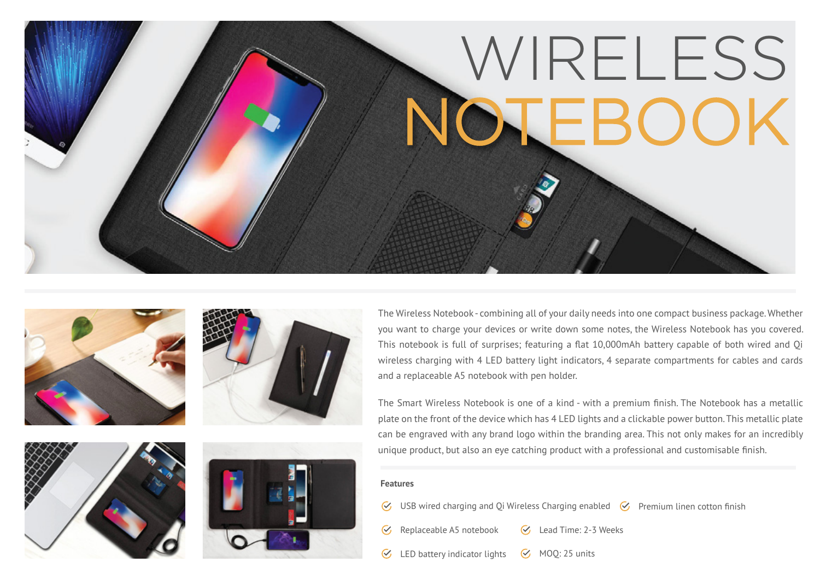









The Wireless Notebook - combining all of your daily needs into one compact business package. Whether you want to charge your devices or write down some notes, the Wireless Notebook has you covered. This notebook is full of surprises; featuring a flat 10,000mAh battery capable of both wired and Qi wireless charging with 4 LED battery light indicators, 4 separate compartments for cables and cards and a replaceable A5 notebook with pen holder.

The Smart Wireless Notebook is one of a kind - with a premium finish. The Notebook has a metallic plate on the front of the device which has 4 LED lights and a clickable power button. This metallic plate can be engraved with any brand logo within the branding area. This not only makes for an incredibly unique product, but also an eye catching product with a professional and customisable finish.

#### **Features**

 $\mathcal{C}_{I}$ 

 $\mathcal{C}_I$ 

USB wired charging and Qi Wireless Charging enabled  $\heartsuit$  Premium linen cotton finish

- Replaceable A5 notebook G Lead Time: 2-3 Weeks
- LED battery indicator lights  $\mathcal G$  MOQ: 25 units